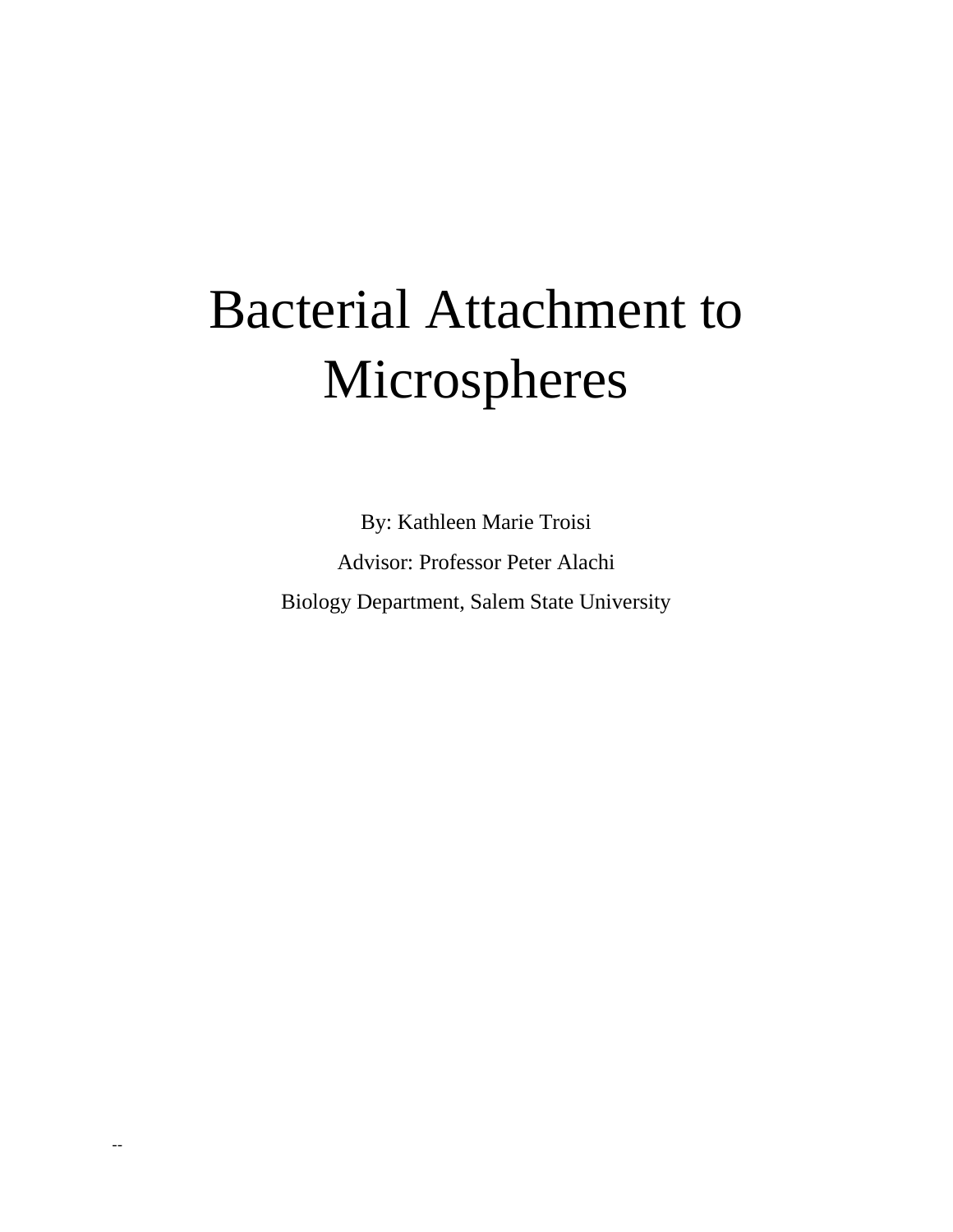# Bacterial Attachment to Microspheres

By: Kathleen Marie Troisi Advisor: Professor Peter Alachi Biology Department, Salem State University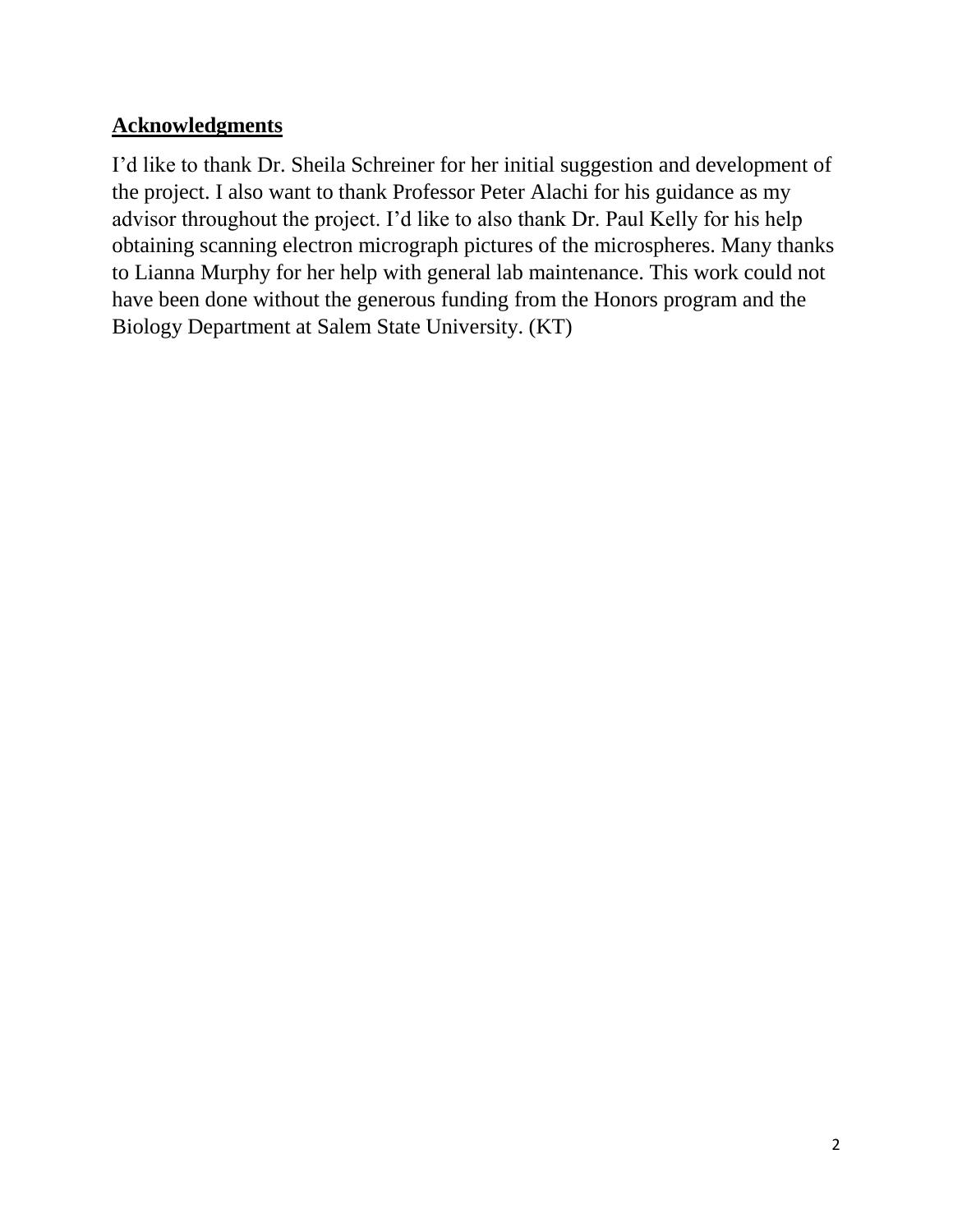## **Acknowledgments**

I'd like to thank Dr. Sheila Schreiner for her initial suggestion and development of the project. I also want to thank Professor Peter Alachi for his guidance as my advisor throughout the project. I'd like to also thank Dr. Paul Kelly for his help obtaining scanning electron micrograph pictures of the microspheres. Many thanks to Lianna Murphy for her help with general lab maintenance. This work could not have been done without the generous funding from the Honors program and the Biology Department at Salem State University. (KT)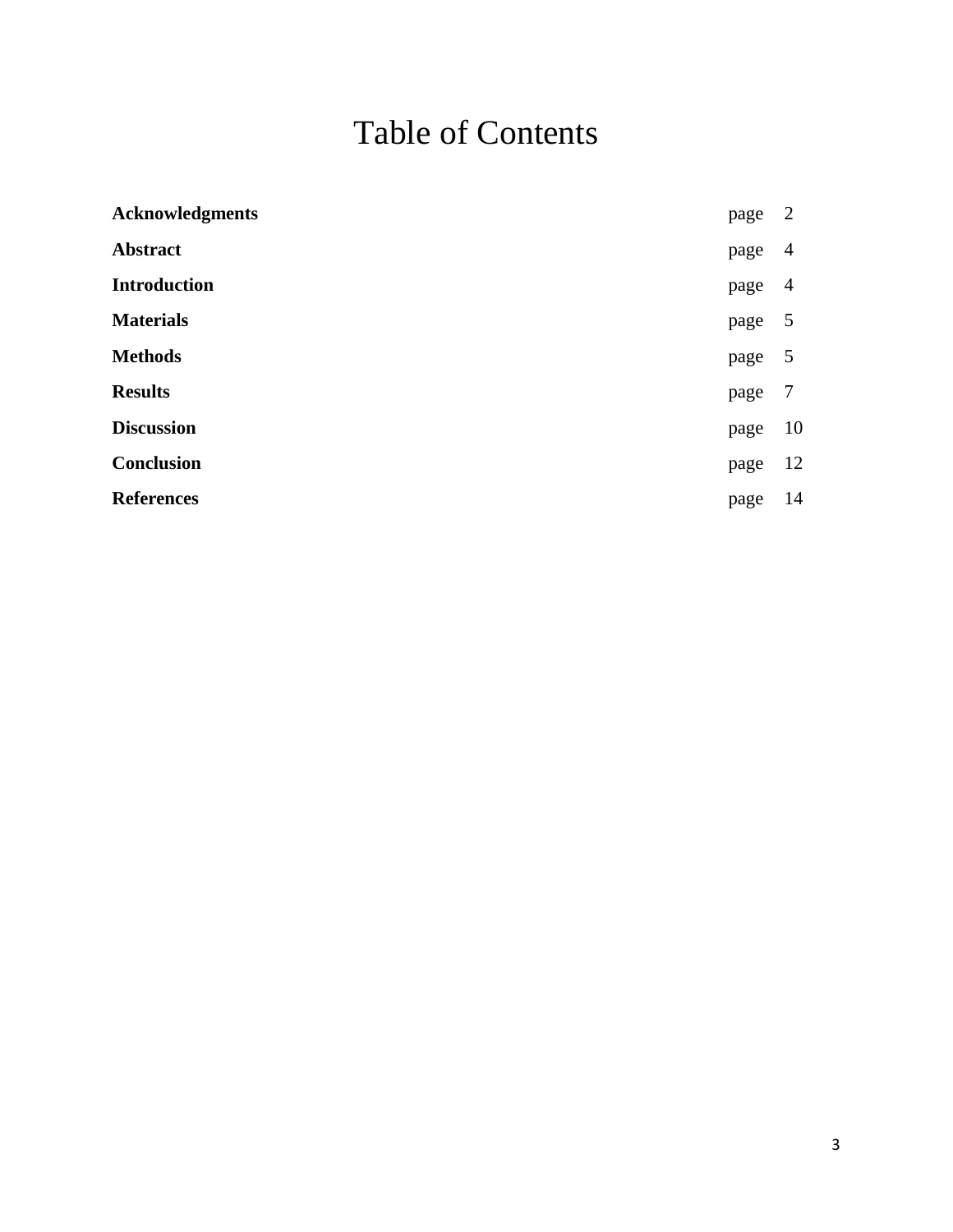# Table of Contents

| <b>Acknowledgments</b> | page | 2              |
|------------------------|------|----------------|
| <b>Abstract</b>        | page | 4              |
| <b>Introduction</b>    | page | $\overline{4}$ |
| <b>Materials</b>       | page | 5              |
| <b>Methods</b>         | page | - 5            |
| <b>Results</b>         | page | 7              |
| <b>Discussion</b>      | page | 10             |
| Conclusion             | page | 12             |
| <b>References</b>      | page | 14             |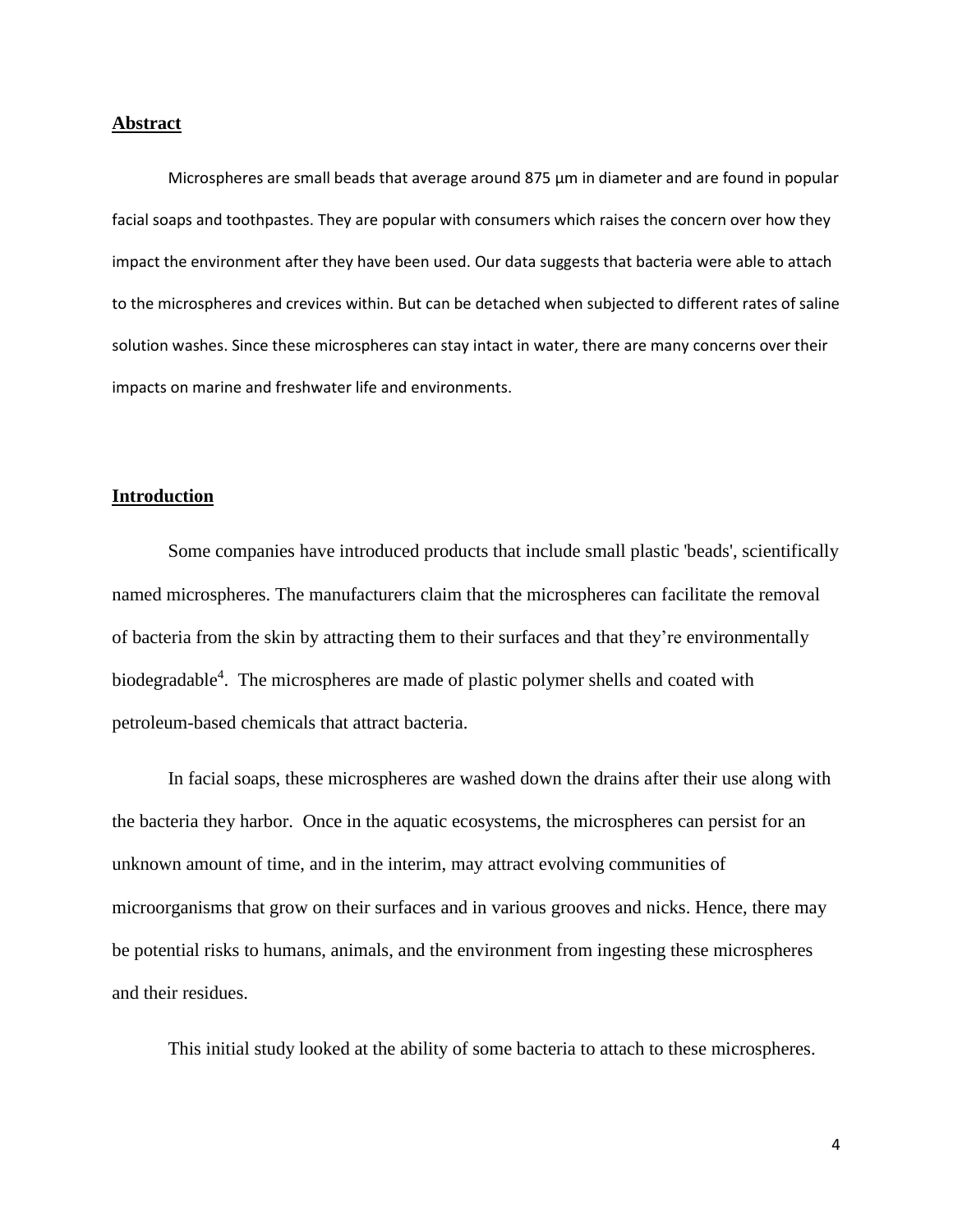#### **Abstract**

Microspheres are small beads that average around 875 μm in diameter and are found in popular facial soaps and toothpastes. They are popular with consumers which raises the concern over how they impact the environment after they have been used. Our data suggests that bacteria were able to attach to the microspheres and crevices within. But can be detached when subjected to different rates of saline solution washes. Since these microspheres can stay intact in water, there are many concerns over their impacts on marine and freshwater life and environments.

#### **Introduction**

Some companies have introduced products that include small plastic 'beads', scientifically named microspheres. The manufacturers claim that the microspheres can facilitate the removal of bacteria from the skin by attracting them to their surfaces and that they're environmentally biodegradable<sup>4</sup>. The microspheres are made of plastic polymer shells and coated with petroleum-based chemicals that attract bacteria.

In facial soaps, these microspheres are washed down the drains after their use along with the bacteria they harbor. Once in the aquatic ecosystems, the microspheres can persist for an unknown amount of time, and in the interim, may attract evolving communities of microorganisms that grow on their surfaces and in various grooves and nicks. Hence, there may be potential risks to humans, animals, and the environment from ingesting these microspheres and their residues.

This initial study looked at the ability of some bacteria to attach to these microspheres.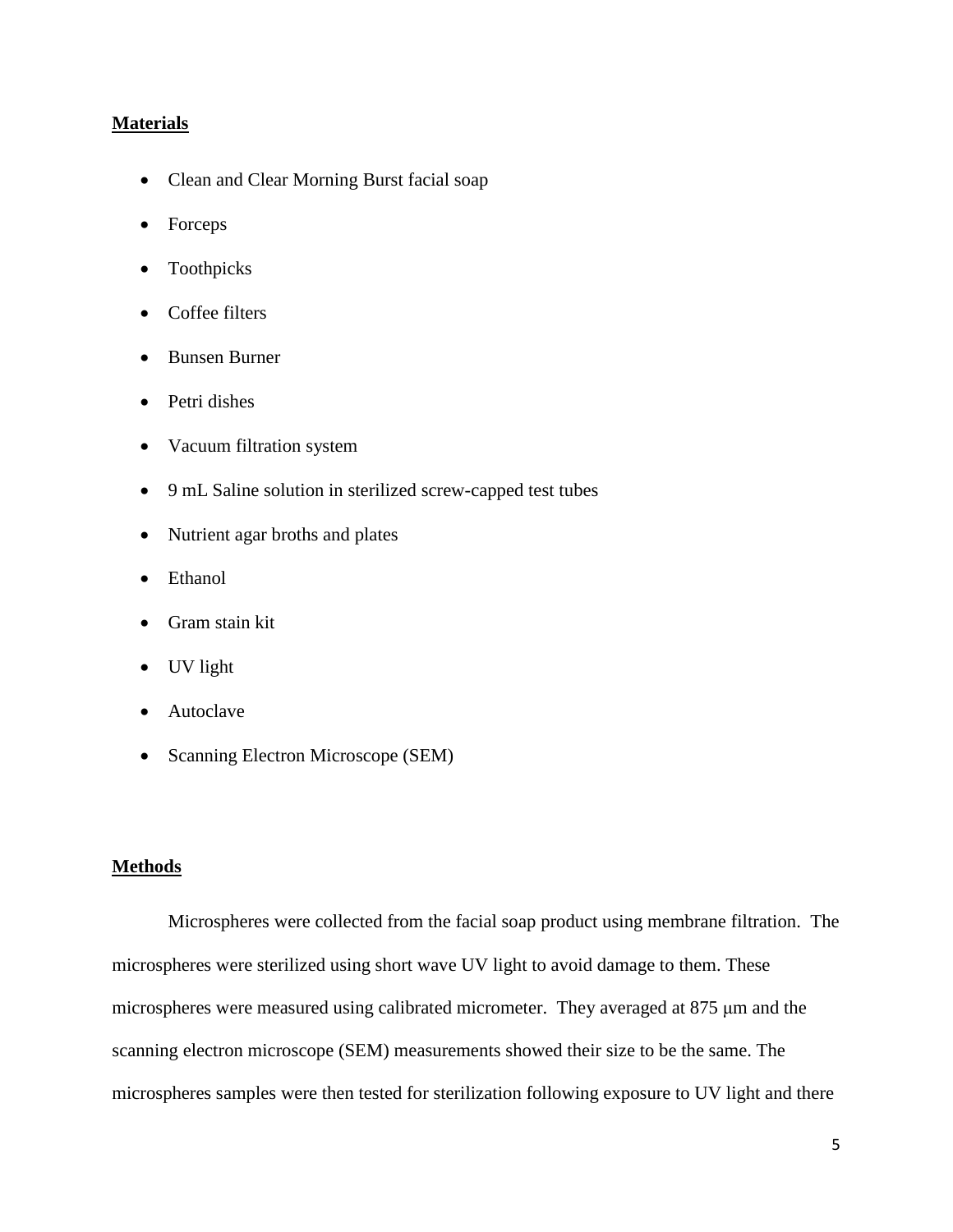#### **Materials**

- Clean and Clear Morning Burst facial soap
- Forceps
- Toothpicks
- Coffee filters
- Bunsen Burner
- Petri dishes
- Vacuum filtration system
- 9 mL Saline solution in sterilized screw-capped test tubes
- Nutrient agar broths and plates
- Ethanol
- Gram stain kit
- UV light
- Autoclave
- Scanning Electron Microscope (SEM)

#### **Methods**

Microspheres were collected from the facial soap product using membrane filtration. The microspheres were sterilized using short wave UV light to avoid damage to them. These microspheres were measured using calibrated micrometer. They averaged at 875 μm and the scanning electron microscope (SEM) measurements showed their size to be the same. The microspheres samples were then tested for sterilization following exposure to UV light and there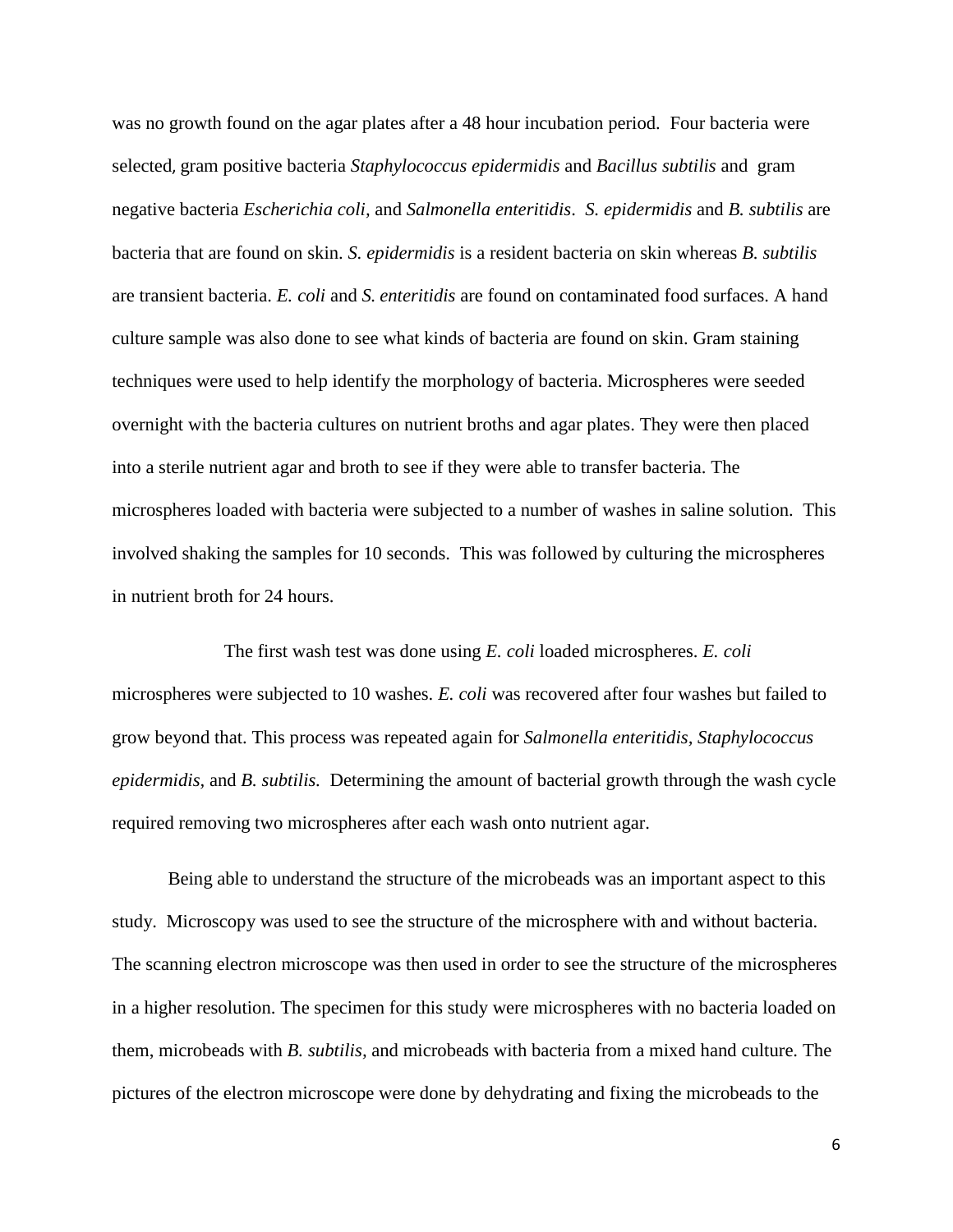was no growth found on the agar plates after a 48 hour incubation period. Four bacteria were selected, gram positive bacteria *Staphylococcus epidermidis* and *Bacillus subtilis* and gram negative bacteria *Escherichia coli,* and *Salmonella enteritidis*. *S. epidermidis* and *B. subtilis* are bacteria that are found on skin. *S. epidermidis* is a resident bacteria on skin whereas *B. subtilis*  are transient bacteria. *E. coli* and *S. enteritidis* are found on contaminated food surfaces. A hand culture sample was also done to see what kinds of bacteria are found on skin. Gram staining techniques were used to help identify the morphology of bacteria. Microspheres were seeded overnight with the bacteria cultures on nutrient broths and agar plates. They were then placed into a sterile nutrient agar and broth to see if they were able to transfer bacteria. The microspheres loaded with bacteria were subjected to a number of washes in saline solution. This involved shaking the samples for 10 seconds. This was followed by culturing the microspheres in nutrient broth for 24 hours.

The first wash test was done using *E. coli* loaded microspheres. *E. coli*  microspheres were subjected to 10 washes. *E. coli* was recovered after four washes but failed to grow beyond that. This process was repeated again for *Salmonella enteritidis, Staphylococcus epidermidis,* and *B. subtilis.* Determining the amount of bacterial growth through the wash cycle required removing two microspheres after each wash onto nutrient agar.

Being able to understand the structure of the microbeads was an important aspect to this study. Microscopy was used to see the structure of the microsphere with and without bacteria. The scanning electron microscope was then used in order to see the structure of the microspheres in a higher resolution. The specimen for this study were microspheres with no bacteria loaded on them, microbeads with *B. subtilis,* and microbeads with bacteria from a mixed hand culture. The pictures of the electron microscope were done by dehydrating and fixing the microbeads to the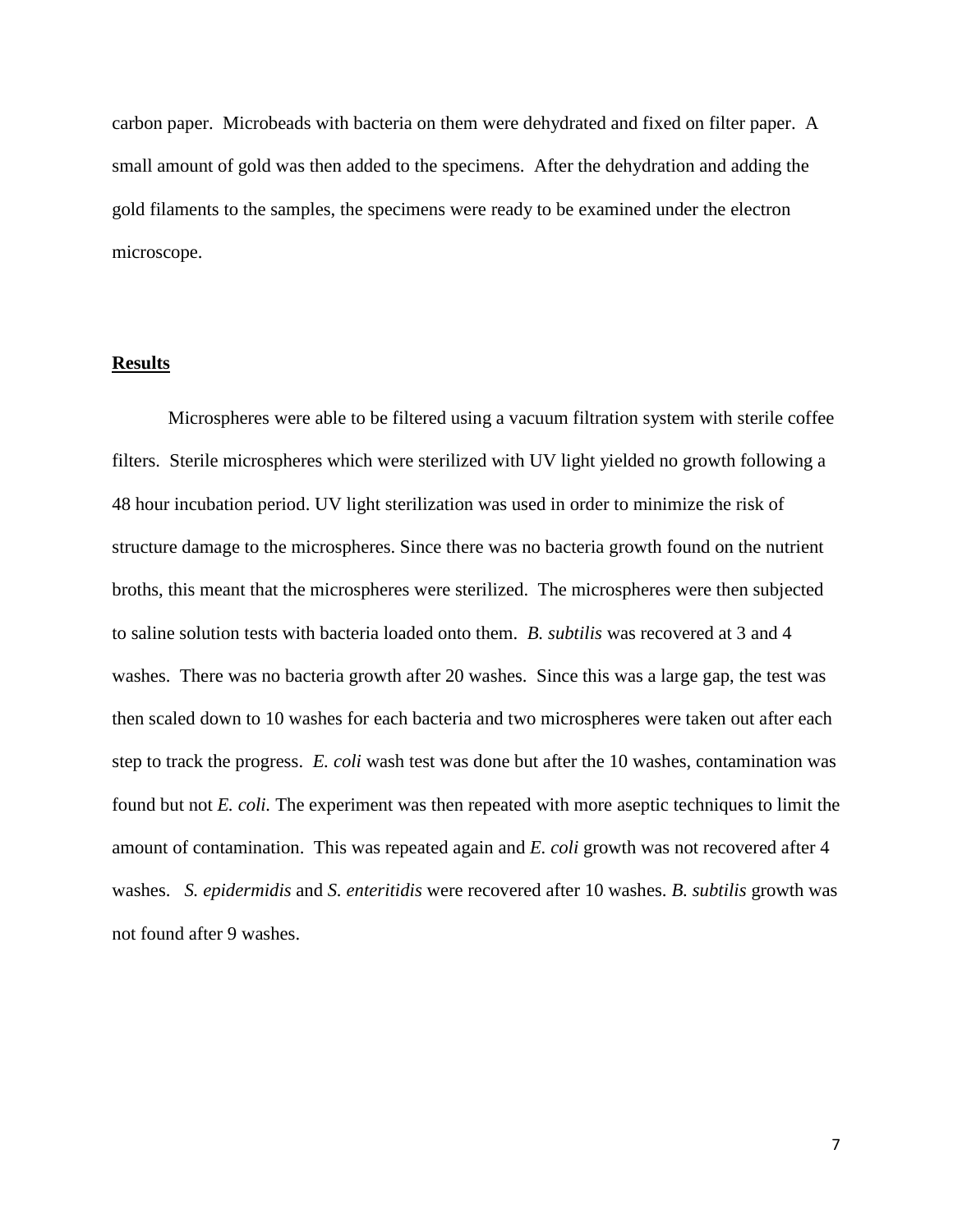carbon paper. Microbeads with bacteria on them were dehydrated and fixed on filter paper. A small amount of gold was then added to the specimens. After the dehydration and adding the gold filaments to the samples, the specimens were ready to be examined under the electron microscope.

#### **Results**

Microspheres were able to be filtered using a vacuum filtration system with sterile coffee filters. Sterile microspheres which were sterilized with UV light yielded no growth following a 48 hour incubation period. UV light sterilization was used in order to minimize the risk of structure damage to the microspheres. Since there was no bacteria growth found on the nutrient broths, this meant that the microspheres were sterilized. The microspheres were then subjected to saline solution tests with bacteria loaded onto them. *B. subtilis* was recovered at 3 and 4 washes. There was no bacteria growth after 20 washes. Since this was a large gap, the test was then scaled down to 10 washes for each bacteria and two microspheres were taken out after each step to track the progress. *E. coli* wash test was done but after the 10 washes, contamination was found but not *E. coli.* The experiment was then repeated with more aseptic techniques to limit the amount of contamination. This was repeated again and *E. coli* growth was not recovered after 4 washes. *S. epidermidis* and *S. enteritidis* were recovered after 10 washes. *B. subtilis* growth was not found after 9 washes.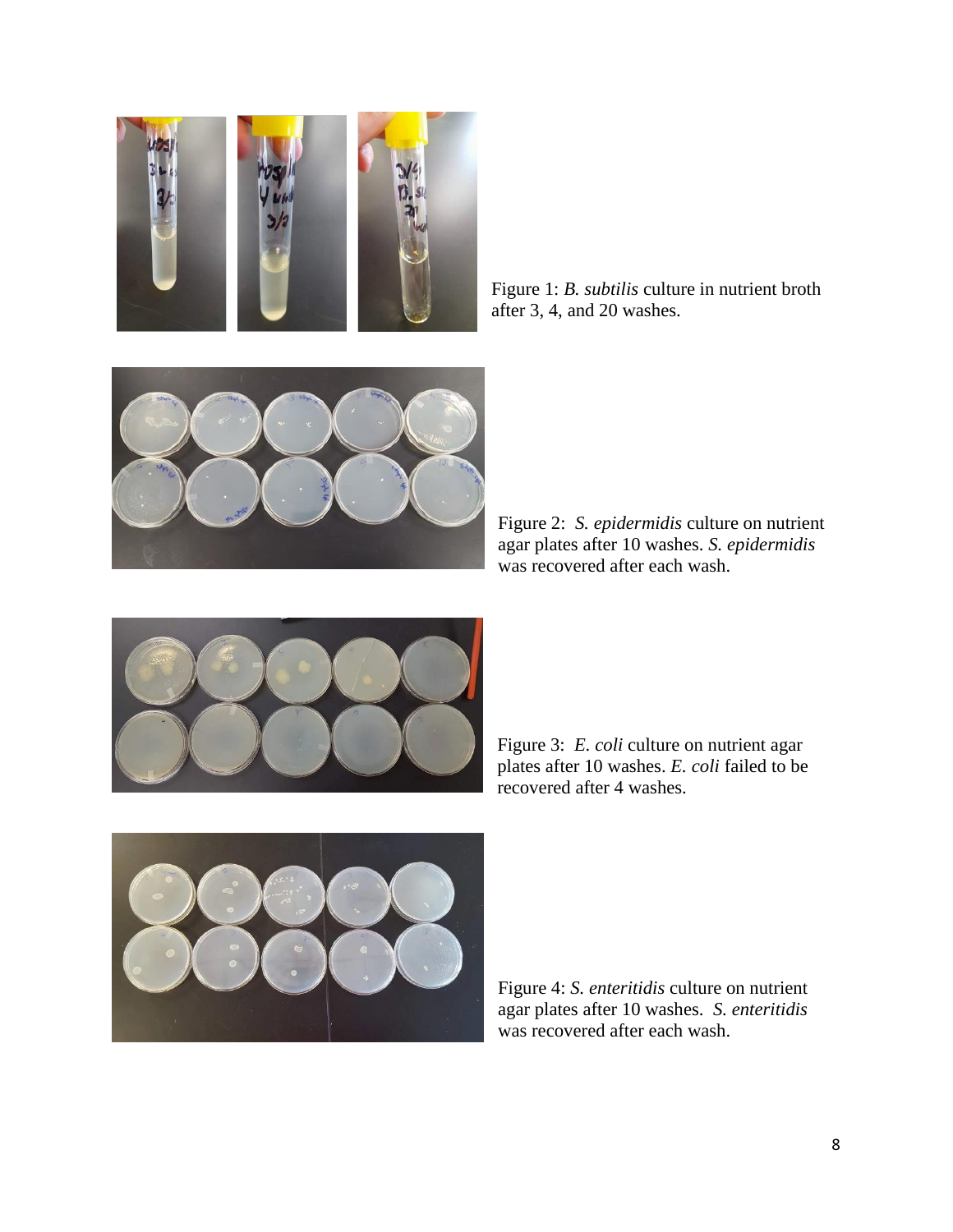

Figure 1: *B. subtilis* culture in nutrient broth after 3, 4, and 20 washes.



Figure 2: *S. epidermidis* culture on nutrient agar plates after 10 washes. *S. epidermidis*  was recovered after each wash.



Figure 3: *E. coli* culture on nutrient agar plates after 10 washes. *E. coli* failed to be recovered after 4 washes.



Figure 4: *S. enteritidis* culture on nutrient agar plates after 10 washes. *S. enteritidis* was recovered after each wash.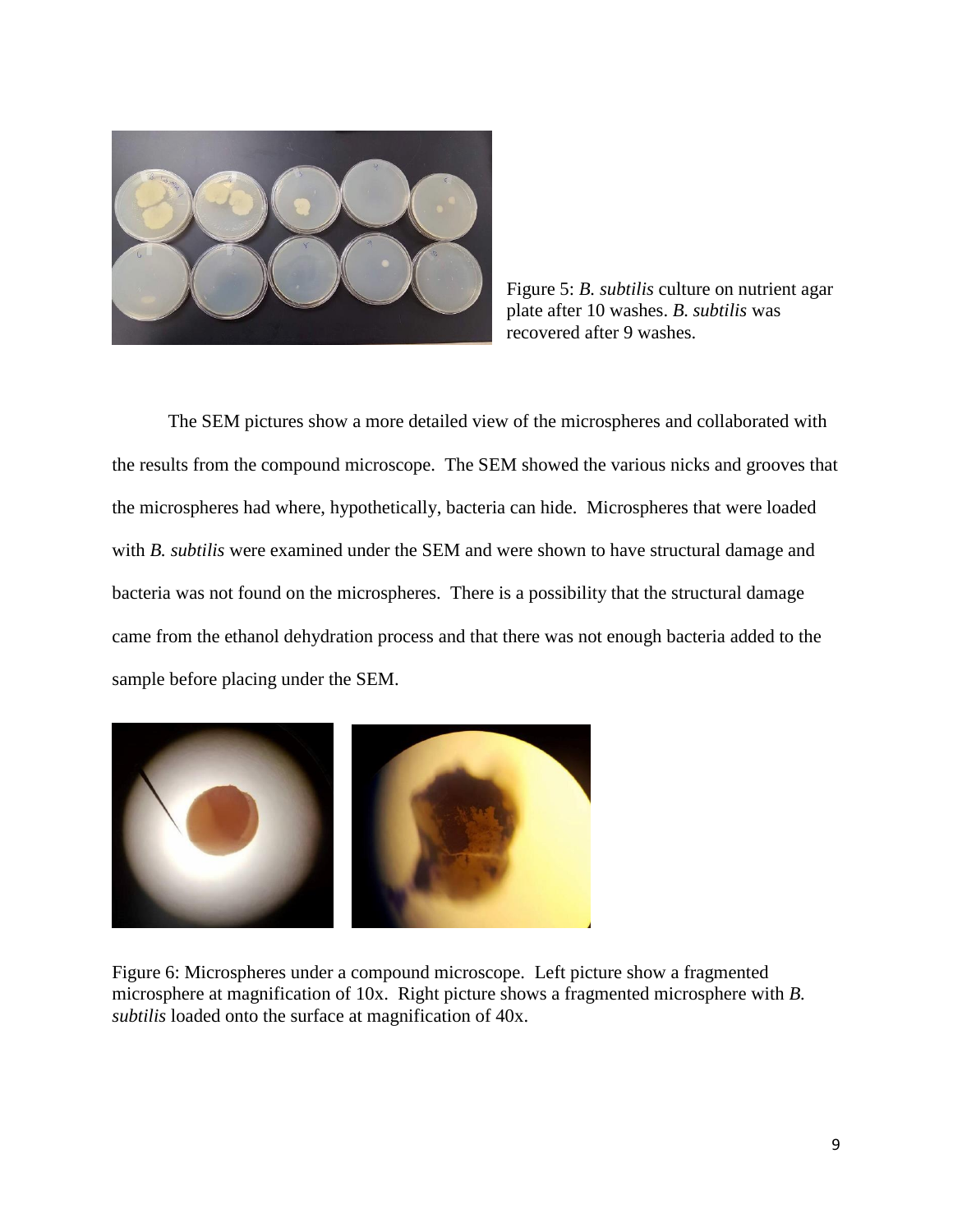

Figure 5: *B. subtilis* culture on nutrient agar plate after 10 washes. *B. subtilis* was recovered after 9 washes.

The SEM pictures show a more detailed view of the microspheres and collaborated with the results from the compound microscope. The SEM showed the various nicks and grooves that the microspheres had where, hypothetically, bacteria can hide. Microspheres that were loaded with *B. subtilis* were examined under the SEM and were shown to have structural damage and bacteria was not found on the microspheres. There is a possibility that the structural damage came from the ethanol dehydration process and that there was not enough bacteria added to the sample before placing under the SEM.



Figure 6: Microspheres under a compound microscope. Left picture show a fragmented microsphere at magnification of 10x. Right picture shows a fragmented microsphere with *B. subtilis* loaded onto the surface at magnification of 40x.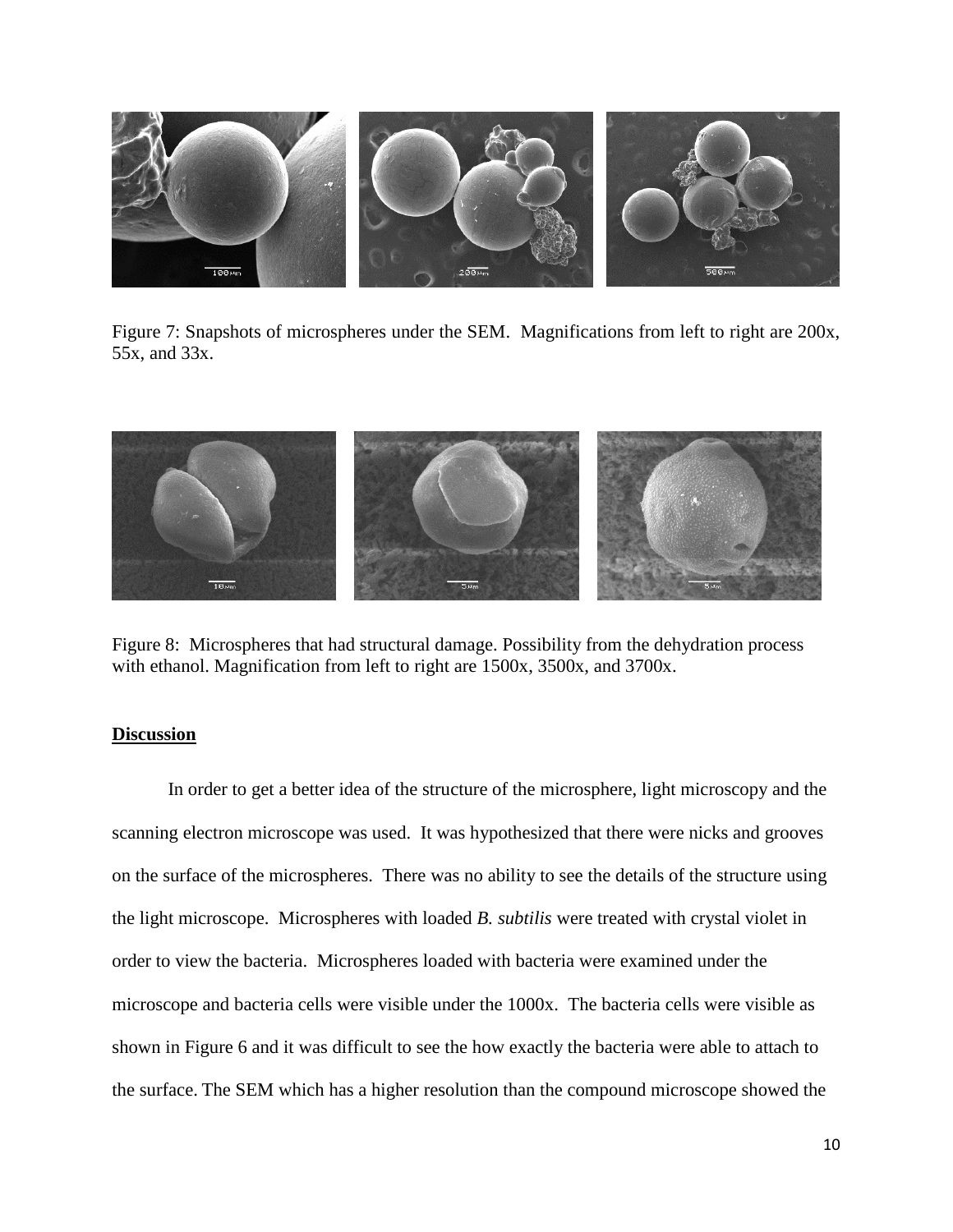

Figure 7: Snapshots of microspheres under the SEM. Magnifications from left to right are 200x, 55x, and 33x.



Figure 8: Microspheres that had structural damage. Possibility from the dehydration process with ethanol. Magnification from left to right are 1500x, 3500x, and 3700x.

#### **Discussion**

In order to get a better idea of the structure of the microsphere, light microscopy and the scanning electron microscope was used. It was hypothesized that there were nicks and grooves on the surface of the microspheres. There was no ability to see the details of the structure using the light microscope. Microspheres with loaded *B. subtilis* were treated with crystal violet in order to view the bacteria. Microspheres loaded with bacteria were examined under the microscope and bacteria cells were visible under the 1000x. The bacteria cells were visible as shown in Figure 6 and it was difficult to see the how exactly the bacteria were able to attach to the surface. The SEM which has a higher resolution than the compound microscope showed the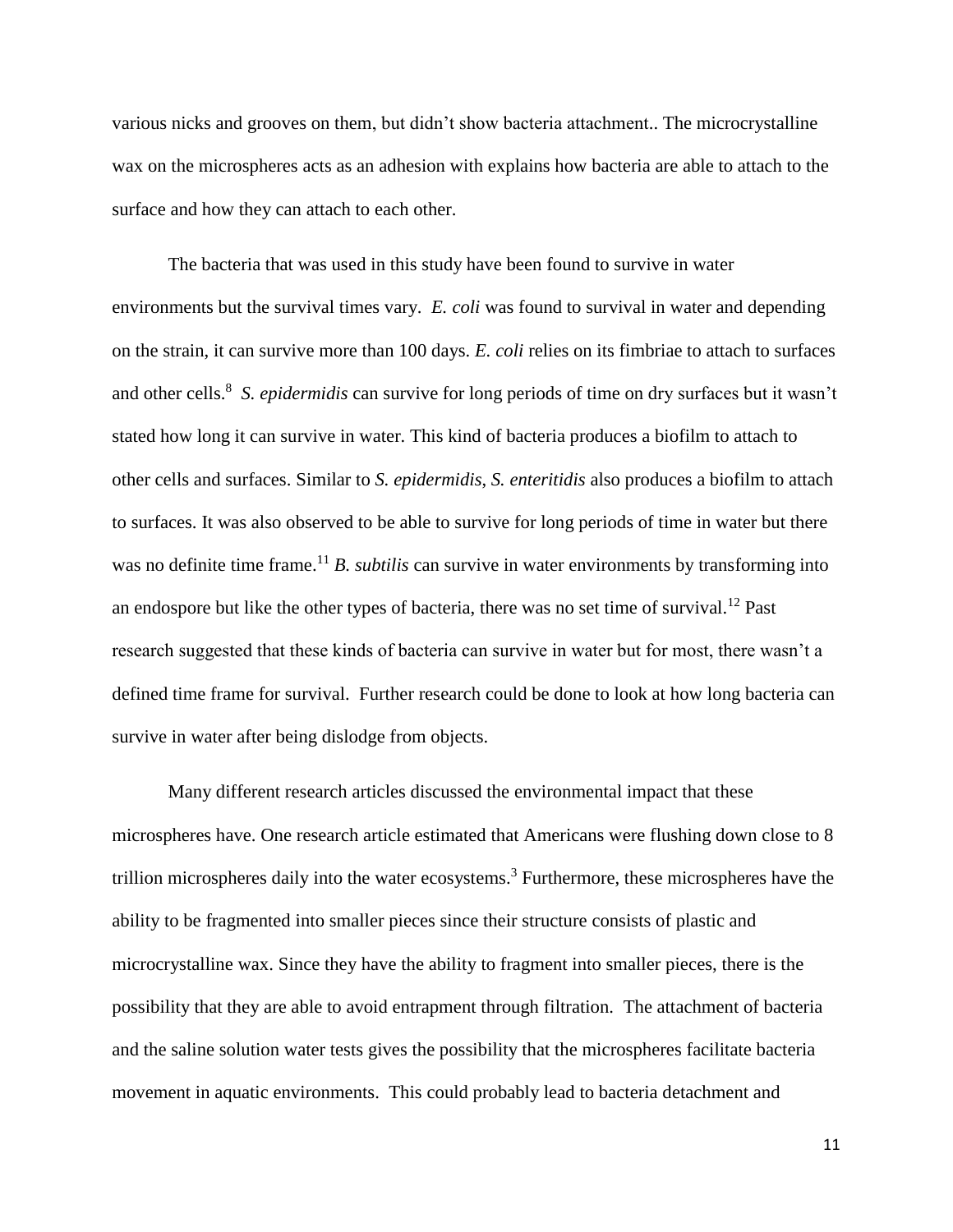various nicks and grooves on them, but didn't show bacteria attachment.. The microcrystalline wax on the microspheres acts as an adhesion with explains how bacteria are able to attach to the surface and how they can attach to each other.

The bacteria that was used in this study have been found to survive in water environments but the survival times vary. *E. coli* was found to survival in water and depending on the strain, it can survive more than 100 days. *E. coli* relies on its fimbriae to attach to surfaces and other cells. 8 *S. epidermidis* can survive for long periods of time on dry surfaces but it wasn't stated how long it can survive in water. This kind of bacteria produces a biofilm to attach to other cells and surfaces. Similar to *S. epidermidis*, *S. enteritidis* also produces a biofilm to attach to surfaces. It was also observed to be able to survive for long periods of time in water but there was no definite time frame.<sup>11</sup> *B. subtilis* can survive in water environments by transforming into an endospore but like the other types of bacteria, there was no set time of survival.<sup>12</sup> Past research suggested that these kinds of bacteria can survive in water but for most, there wasn't a defined time frame for survival. Further research could be done to look at how long bacteria can survive in water after being dislodge from objects.

Many different research articles discussed the environmental impact that these microspheres have. One research article estimated that Americans were flushing down close to 8 trillion microspheres daily into the water ecosystems.<sup>3</sup> Furthermore, these microspheres have the ability to be fragmented into smaller pieces since their structure consists of plastic and microcrystalline wax. Since they have the ability to fragment into smaller pieces, there is the possibility that they are able to avoid entrapment through filtration. The attachment of bacteria and the saline solution water tests gives the possibility that the microspheres facilitate bacteria movement in aquatic environments. This could probably lead to bacteria detachment and

11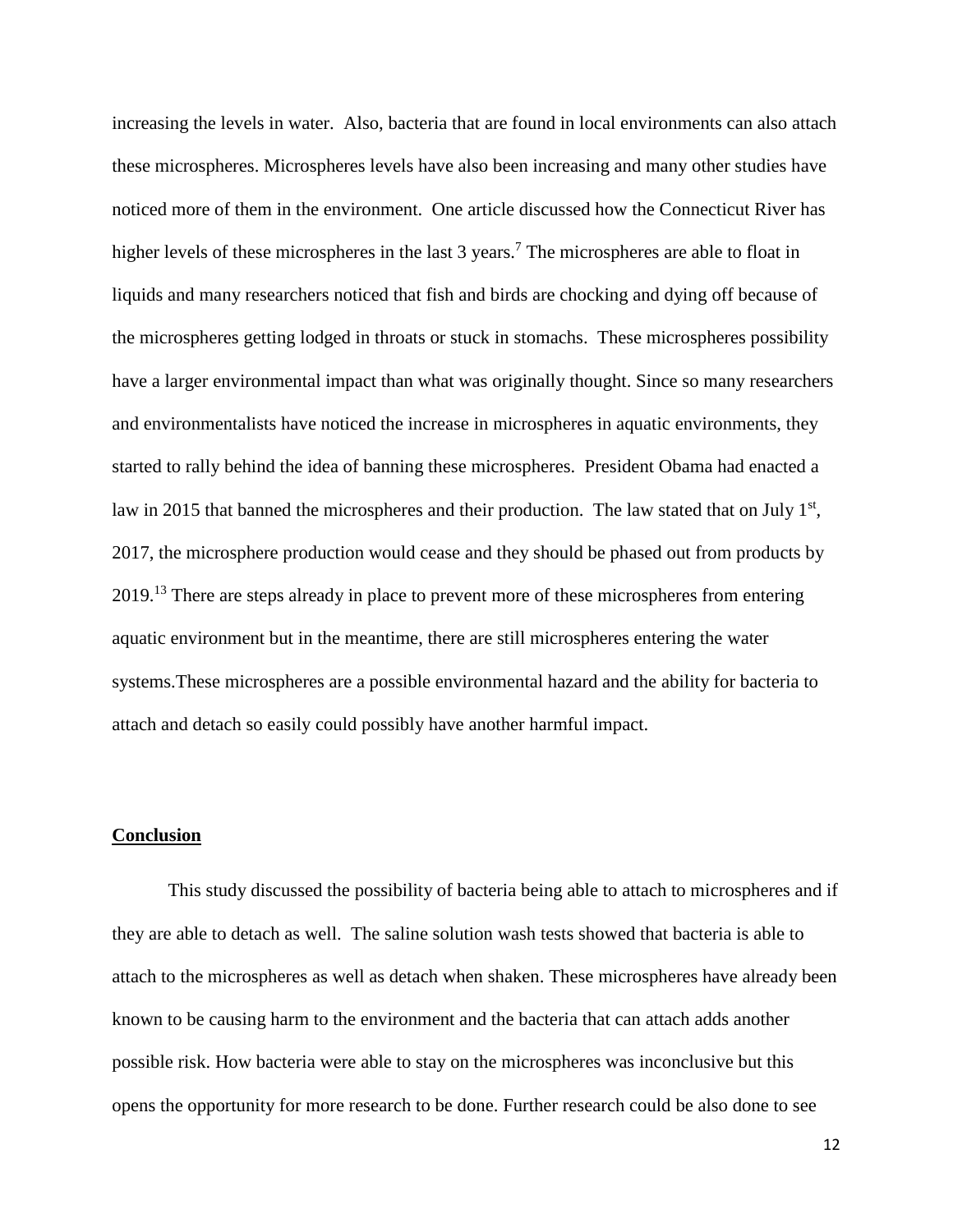increasing the levels in water. Also, bacteria that are found in local environments can also attach these microspheres. Microspheres levels have also been increasing and many other studies have noticed more of them in the environment. One article discussed how the Connecticut River has higher levels of these microspheres in the last 3 years.<sup>7</sup> The microspheres are able to float in liquids and many researchers noticed that fish and birds are chocking and dying off because of the microspheres getting lodged in throats or stuck in stomachs. These microspheres possibility have a larger environmental impact than what was originally thought. Since so many researchers and environmentalists have noticed the increase in microspheres in aquatic environments, they started to rally behind the idea of banning these microspheres. President Obama had enacted a law in 2015 that banned the microspheres and their production. The law stated that on July  $1<sup>st</sup>$ , 2017, the microsphere production would cease and they should be phased out from products by 2019.<sup>13</sup> There are steps already in place to prevent more of these microspheres from entering aquatic environment but in the meantime, there are still microspheres entering the water systems.These microspheres are a possible environmental hazard and the ability for bacteria to attach and detach so easily could possibly have another harmful impact.

#### **Conclusion**

This study discussed the possibility of bacteria being able to attach to microspheres and if they are able to detach as well. The saline solution wash tests showed that bacteria is able to attach to the microspheres as well as detach when shaken. These microspheres have already been known to be causing harm to the environment and the bacteria that can attach adds another possible risk. How bacteria were able to stay on the microspheres was inconclusive but this opens the opportunity for more research to be done. Further research could be also done to see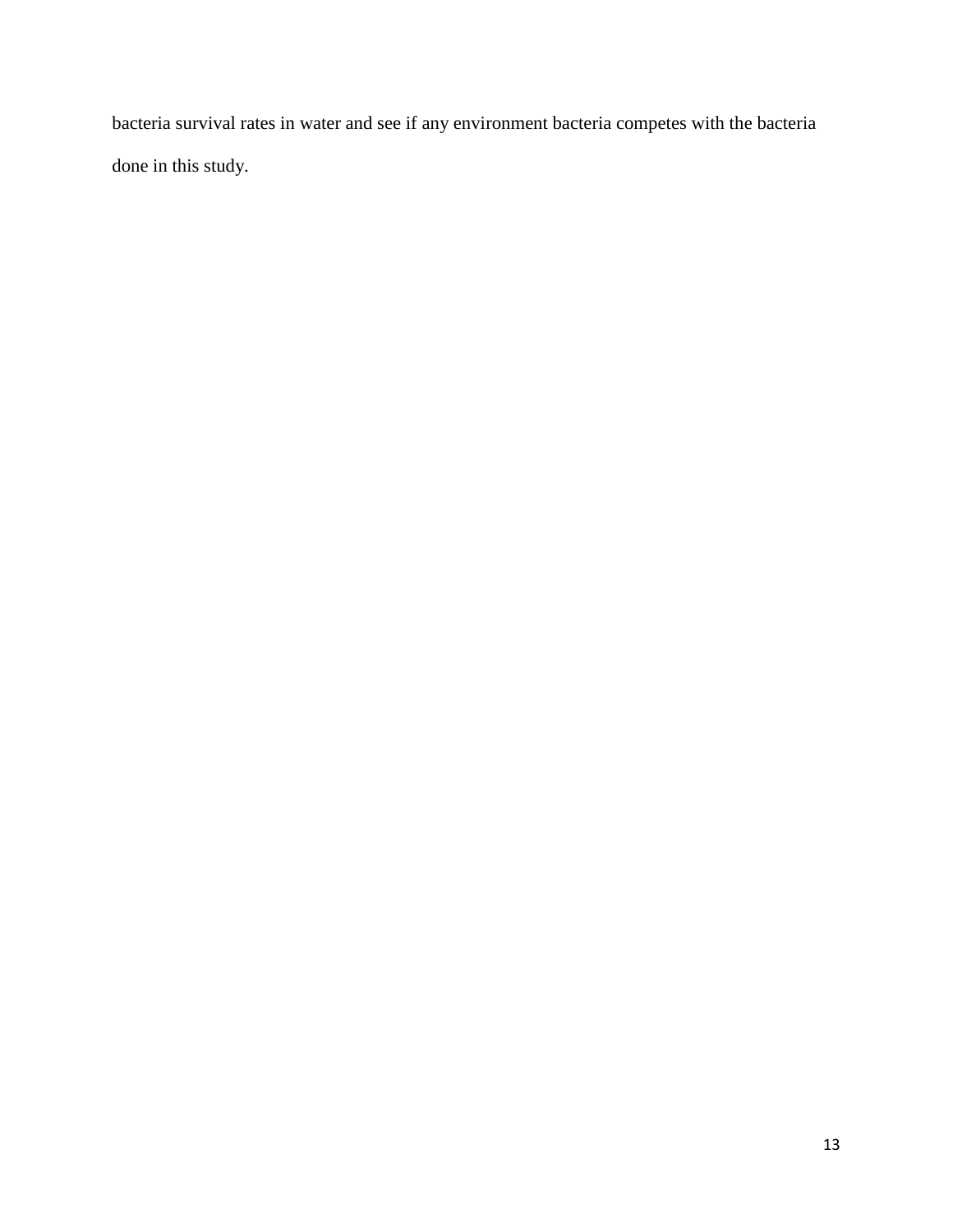bacteria survival rates in water and see if any environment bacteria competes with the bacteria done in this study.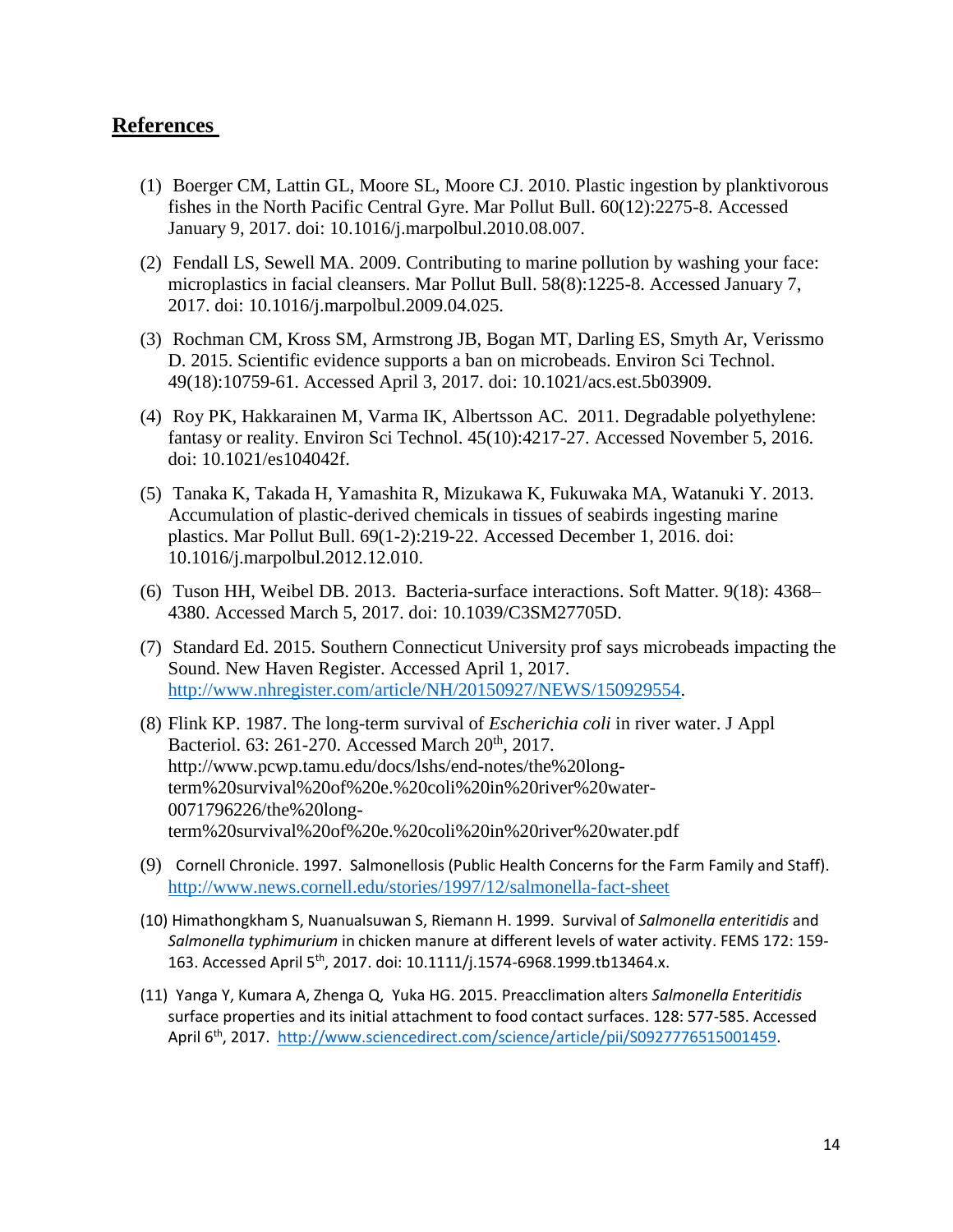### **References**

- (1) Boerger CM, Lattin GL, Moore SL, Moore CJ. 2010. Plastic ingestion by planktivorous fishes in the North Pacific Central Gyre. Mar Pollut Bull. 60(12):2275-8. Accessed January 9, 2017. doi: 10.1016/j.marpolbul.2010.08.007.
- (2) Fendall LS, Sewell MA. 2009. Contributing to marine pollution by washing your face: microplastics in facial cleansers. Mar Pollut Bull. 58(8):1225-8. Accessed January 7, 2017. doi: 10.1016/j.marpolbul.2009.04.025.
- (3) Rochman CM, Kross SM, Armstrong JB, Bogan MT, Darling ES, Smyth Ar, Verissmo D. 2015. Scientific evidence supports a ban on microbeads. Environ Sci Technol. 49(18):10759-61. Accessed April 3, 2017. doi: 10.1021/acs.est.5b03909.
- (4) Roy PK, Hakkarainen M, Varma IK, Albertsson AC. 2011. Degradable polyethylene: fantasy or reality. Environ Sci Technol. 45(10):4217-27. Accessed November 5, 2016. doi: 10.1021/es104042f.
- (5) Tanaka K, Takada H, Yamashita R, Mizukawa K, Fukuwaka MA, Watanuki Y. 2013. Accumulation of plastic-derived chemicals in tissues of seabirds ingesting marine plastics. Mar Pollut Bull. 69(1-2):219-22. Accessed December 1, 2016. doi: 10.1016/j.marpolbul.2012.12.010.
- (6) Tuson HH, Weibel DB. 2013. Bacteria-surface interactions. Soft Matter. 9(18): 4368– 4380. Accessed March 5, 2017. doi: 10.1039/C3SM27705D.
- (7) Standard Ed. 2015. Southern Connecticut University prof says microbeads impacting the Sound. New Haven Register. Accessed April 1, 2017. [http://www.nhregister.com/article/NH/20150927/NEWS/150929554.](http://www.nhregister.com/article/NH/20150927/NEWS/150929554)
- (8) Flink KP. 1987. The long-term survival of *Escherichia coli* in river water. J Appl Bacteriol. 63: 261-270. Accessed March 20<sup>th</sup>, 2017. http://www.pcwp.tamu.edu/docs/lshs/end-notes/the%20longterm%20survival%20of%20e.%20coli%20in%20river%20water-0071796226/the%20longterm%20survival%20of%20e.%20coli%20in%20river%20water.pdf
- (9) Cornell Chronicle. 1997. Salmonellosis (Public Health Concerns for the Farm Family and Staff). <http://www.news.cornell.edu/stories/1997/12/salmonella-fact-sheet>
- (10) Himathongkham S, Nuanualsuwan S, Riemann H. 1999. Survival of *Salmonella enteritidis* and *Salmonella typhimurium* in chicken manure at different levels of water activity. FEMS 172: 159- 163. Accessed April 5th, 2017. doi: 10.1111/j.1574-6968.1999.tb13464.x.
- (11) Yanga Y, Kumara A, Zhenga Q, Yuka HG. 2015. Preacclimation alters *Salmonella Enteritidis* surface properties and its initial attachment to food contact surfaces. 128: 577-585. Accessed April 6th, 2017. [http://www.sciencedirect.com/science/article/pii/S0927776515001459.](http://www.sciencedirect.com/science/article/pii/S0927776515001459)